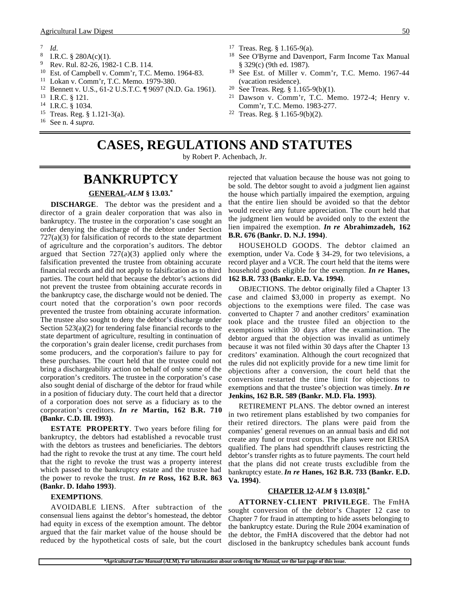- $\frac{7}{8}$  *Id.*
- <sup>8</sup> I.R.C.  $\frac{8}{9}$  280A(c)(1).
- <sup>9</sup> Rev. Rul. 82-26, 1982-1 C.B. 114.
- <sup>10</sup> Est. of Campbell v. Comm'r, T.C. Memo. 1964-83.
- <sup>11</sup> Lokan v. Comm'r, T.C. Memo. 1979-380.
- <sup>12</sup> Bennett v. U.S., 61-2 U.S.T.C. ¶ 9697 (N.D. Ga. 1961).
- <sup>13</sup> I.R.C. § 121.
- <sup>14</sup> I.R.C. § 1034.
- <sup>15</sup> Treas. Reg. § 1.121-3(a).
- <sup>16</sup> See n. 4 *supra*.
- <sup>17</sup> Treas. Reg.  $\S 1.165-9(a)$ .<br><sup>18</sup> See O'Byrne and Davenr
- See O'Byrne and Davenport, Farm Income Tax Manual § 329(c) (9th ed. 1987).
- <sup>19</sup> See Est. of Miller v. Comm'r, T.C. Memo. 1967-44 (vacation residence).
- <sup>20</sup> See Treas. Reg. § 1.165-9(b)(1).
- Dawson v. Comm'r, T.C. Memo. 1972-4; Henry v. Comm'r, T.C. Memo. 1983-277.
- <sup>22</sup> Treas. Reg. § 1.165-9(b)(2).

**CASES, REGULATIONS AND STATUTES**

by Robert P. Achenbach, Jr.

### **BANKRUPTCY GENERAL -***ALM* **§ 13.03.\***

**DISCHARGE**. The debtor was the president and a director of a grain dealer corporation that was also in bankruptcy. The trustee in the corporation's case sought an order denying the discharge of the debtor under Section 727(a)(3) for falsification of records to the state department of agriculture and the corporation's auditors. The debtor argued that Section  $727(a)(3)$  applied only where the falsification prevented the trustee from obtaining accurate financial records and did not apply to falsification as to third parties. The court held that because the debtor's actions did not prevent the trustee from obtaining accurate records in the bankruptcy case, the discharge would not be denied. The court noted that the corporation's own poor records prevented the trustee from obtaining accurate information. The trustee also sought to deny the debtor's discharge under Section 523(a)(2) for tendering false financial records to the state department of agriculture, resulting in continuation of the corporation's grain dealer license, credit purchases from some producers, and the corporation's failure to pay for these purchases. The court held that the trustee could not bring a dischargeability action on behalf of only some of the corporation's creditors. The trustee in the corporation's case also sought denial of discharge of the debtor for fraud while in a position of fiduciary duty. The court held that a director of a corporation does not serve as a fiduciary as to the corporation's creditors. *In re* **Martin, 162 B.R. 710 (Bankr. C.D. Ill. 1993)**.

**ESTATE PROPERTY**. Two years before filing for bankruptcy, the debtors had established a revocable trust with the debtors as trustees and beneficiaries. The debtors had the right to revoke the trust at any time. The court held that the right to revoke the trust was a property interest which passed to the bankruptcy estate and the trustee had the power to revoke the trust. *In re* **Ross, 162 B.R. 863 (Bankr. D. Idaho 1993)**.

#### **EXEMPTIONS**.

AVOIDABLE LIENS. After subtraction of the consensual liens against the debtor's homestead, the debtor had equity in excess of the exemption amount. The debtor argued that the fair market value of the house should be reduced by the hypothetical costs of sale, but the court

rejected that valuation because the house was not going to be sold. The debtor sought to avoid a judgment lien against the house which partially impaired the exemption, arguing that the entire lien should be avoided so that the debtor would receive any future appreciation. The court held that the judgment lien would be avoided only to the extent the lien impaired the exemption. *In re* **Abrahimzadeh, 162 B.R. 676 (Bankr. D. N.J. 1994)**.

HOUSEHOLD GOODS. The debtor claimed an exemption, under Va. Code § 34-29, for two televisions, a record player and a VCR. The court held that the items were household goods eligible for the exemption. *In re* **Hanes, 162 B.R. 733 (Bankr. E.D. Va. 1994)**.

OBJECTIONS. The debtor originally filed a Chapter 13 case and claimed \$3,000 in property as exempt. No objections to the exemptions were filed. The case was converted to Chapter 7 and another creditors' examination took place and the trustee filed an objection to the exemptions within 30 days after the examination. The debtor argued that the objection was invalid as untimely because it was not filed within 30 days after the Chapter 13 creditors' examination. Although the court recognized that the rules did not explicitly provide for a new time limit for objections after a conversion, the court held that the conversion restarted the time limit for objections to exemptions and that the trustee's objection was timely. *In re* **Jenkins, 162 B.R. 589 (Bankr. M.D. Fla. 1993)**.

RETIREMENT PLANS. The debtor owned an interest in two retirement plans established by two companies for their retired directors. The plans were paid from the companies' general revenues on an annual basis and did not create any fund or trust corpus. The plans were not ERISA qualified. The plans had spendthrift clauses restricting the debtor's transfer rights as to future payments. The court held that the plans did not create trusts excludible from the bankruptcy estate. *In re* **Hanes, 162 B.R. 733 (Bankr. E.D. Va. 1994)**.

#### **CHAPTER 12 -***ALM* **§ 13.03[8].\***

**ATTORNEY-CLIENT PRIVILEGE**. The FmHA sought conversion of the debtor's Chapter 12 case to Chapter 7 for fraud in attempting to hide assets belonging to the bankruptcy estate. During the Rule 2004 examination of the debtor, the FmHA discovered that the debtor had not disclosed in the bankruptcy schedules bank account funds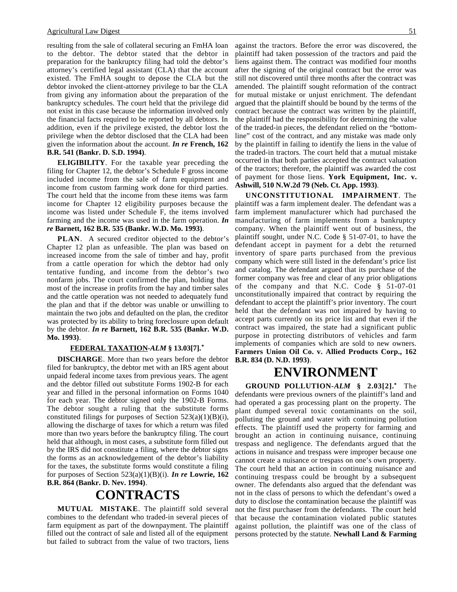resulting from the sale of collateral securing an FmHA loan to the debtor. The debtor stated that the debtor in preparation for the bankruptcy filing had told the debtor's attorney's certified legal assistant (CLA) that the account existed. The FmHA sought to depose the CLA but the debtor invoked the client-attorney privilege to bar the CLA from giving any information about the preparation of the bankruptcy schedules. The court held that the privilege did not exist in this case because the information involved only the financial facts required to be reported by all debtors. In addition, even if the privilege existed, the debtor lost the privilege when the debtor disclosed that the CLA had been given the information about the account. *In re* **French, 162 B.R. 541 (Bankr. D. S.D. 1994)**.

**ELIGIBILITY**. For the taxable year preceding the filing for Chapter 12, the debtor's Schedule F gross income included income from the sale of farm equipment and income from custom farming work done for third parties. The court held that the income from these items was farm income for Chapter 12 eligibility purposes because the income was listed under Schedule F, the items involved farming and the income was used in the farm operation. *In re* **Barnett, 162 B.R. 535 (Bankr. W.D. Mo. 1993)**.

**PLAN**. A secured creditor objected to the debtor's Chapter 12 plan as unfeasible. The plan was based on increased income from the sale of timber and hay, profit from a cattle operation for which the debtor had only tentative funding, and income from the debtor's two nonfarm jobs. The court confirmed the plan, holding that most of the increase in profits from the hay and timber sales and the cattle operation was not needed to adequately fund the plan and that if the debtor was unable or unwilling to maintain the two jobs and defaulted on the plan, the creditor was protected by its ability to bring foreclosure upon default by the debtor. *In re* **Barnett, 162 B.R. 535 (Bankr. W.D. Mo. 1993)**.

#### **FEDERAL TAXATION -***ALM* **§ 13.03[7].\***

**DISCHARGE**. More than two years before the debtor filed for bankruptcy, the debtor met with an IRS agent about unpaid federal income taxes from previous years. The agent and the debtor filled out substitute Forms 1902-B for each year and filled in the personal information on Forms 1040 for each year. The debtor signed only the 1902-B Forms. The debtor sought a ruling that the substitute forms constituted filings for purposes of Section  $523(a)(1)(B)(i)$ , allowing the discharge of taxes for which a return was filed more than two years before the bankruptcy filing. The court held that although, in most cases, a substitute form filled out by the IRS did not constitute a filing, where the debtor signs the forms as an acknowledgement of the debtor's liability for the taxes, the substitute forms would constitute a filing for purposes of Section 523(a)(1)(B)(i). *In re* **Lowrie, 162 B.R. 864 (Bankr. D. Nev. 1994)**.

## **CONTRACTS**

**MUTUAL MISTAKE**. The plaintiff sold several combines to the defendant who traded-in several pieces of farm equipment as part of the downpayment. The plaintiff filled out the contract of sale and listed all of the equipment but failed to subtract from the value of two tractors, liens

against the tractors. Before the error was discovered, the plaintiff had taken possession of the tractors and paid the liens against them. The contract was modified four months after the signing of the original contract but the error was still not discovered until three months after the contract was amended. The plaintiff sought reformation of the contract for mutual mistake or unjust enrichment. The defendant argued that the plaintiff should be bound by the terms of the contract because the contract was written by the plaintiff, the plaintiff had the responsibility for determining the value of the traded-in pieces, the defendant relied on the "bottomline" cost of the contract, and any mistake was made only by the plaintiff in failing to identify the liens in the value of the traded-in tractors. The court held that a mutual mistake occurred in that both parties accepted the contract valuation of the tractors; therefore, the plaintiff was awarded the cost of payment for those liens. **York Equipment, Inc. v. Ashwill, 510 N.W.2d 79 (Neb. Ct. App. 1993)**.

**UNCONSTITUTIONAL IMPAIRMENT**. The plaintiff was a farm implement dealer. The defendant was a farm implement manufacturer which had purchased the manufacturing of farm implements from a bankruptcy company. When the plaintiff went out of business, the plaintiff sought, under N.C. Code § 51-07-01, to have the defendant accept in payment for a debt the returned inventory of spare parts purchased from the previous company which were still listed in the defendant's price list and catalog. The defendant argued that its purchase of the former company was free and clear of any prior obligations of the company and that N.C. Code § 51-07-01 unconstitutionally impaired that contract by requiring the defendant to accept the plaintiff's prior inventory. The court held that the defendant was not impaired by having to accept parts currently on its price list and that even if the contract was impaired, the state had a significant public purpose in protecting distributors of vehicles and farm implements of companies which are sold to new owners. **Farmers Union Oil Co. v. Allied Products Corp., 162 B.R. 834 (D. N.D. 1993)**.

### **ENVIRONMENT**

**GROUND POLLUTION-***ALM* **§ 2.03[2].\*** The defendants were previous owners of the plaintiff's land and had operated a gas processing plant on the property. The plant dumped several toxic contaminants on the soil, polluting the ground and water with continuing pollution effects. The plaintiff used the property for farming and brought an action in continuing nuisance, continuing trespass and negligence. The defendants argued that the actions in nuisance and trespass were improper because one cannot create a nuisance or trespass on one's own property. The court held that an action in continuing nuisance and continuing trespass could be brought by a subsequent owner. The defendants also argued that the defendant was not in the class of persons to which the defendant's owed a duty to disclose the contamination because the plaintiff was not the first purchaser from the defendants. The court held that because the contamination violated public statutes against pollution, the plaintiff was one of the class of persons protected by the statute. **Newhall Land & Farming**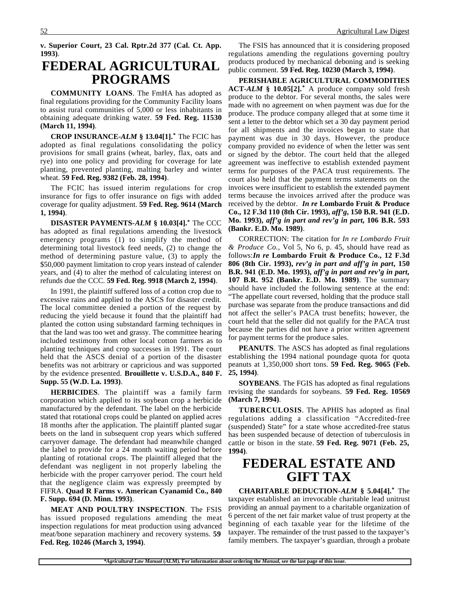**v. Superior Court, 23 Cal. Rptr.2d 377 (Cal. Ct. App. 1993)**.

## **FEDERAL AGRICULTURAL PROGRAMS**

**COMMUNITY LOANS**. The FmHA has adopted as final regulations providing for the Community Facility loans to assist rural communities of 5,000 or less inhabitants in obtaining adequate drinking water. **59 Fed. Reg. 11530 (March 11, 1994)**.

**CROP INSURANCE-***ALM* **§ 13.04[1].\*** The FCIC has adopted as final regulations consolidating the policy provisions for small grains (wheat, barley, flax, oats and rye) into one policy and providing for coverage for late planting, prevented planting, malting barley and winter wheat. **59 Fed. Reg. 9382 (Feb. 28, 1994)**.

The FCIC has issued interim regulations for crop insurance for figs to offer insurance on figs with added coverage for quality adjustment. **59 Fed. Reg. 9614 (March 1, 1994)**.

**DISASTER PAYMENTS-***ALM* **§ 10.03[4].\*** The CCC has adopted as final regulations amending the livestock emergency programs (1) to simplify the method of determining total livestock feed needs, (2) to change the method of determining pasture value, (3) to apply the \$50,000 payment limitation to crop years instead of calender years, and (4) to alter the method of calculating interest on refunds due the CCC. **59 Fed. Reg. 9918 (March 2, 1994)**.

In 1991, the plaintiff suffered loss of a cotton crop due to excessive rains and applied to the ASCS for disaster credit. The local committee denied a portion of the request by reducing the yield because it found that the plaintiff had planted the cotton using substandard farming techniques in that the land was too wet and grassy. The committee hearing included testimony from other local cotton farmers as to planting techniques and crop successes in 1991. The court held that the ASCS denial of a portion of the disaster benefits was not arbitrary or capricious and was supported by the evidence presented. **Brouillette v. U.S.D.A., 840 F. Supp. 55 (W.D. La. 1993)**.

**HERBICIDES**. The plaintiff was a family farm corporation which applied to its soybean crop a herbicide manufactured by the defendant. The label on the herbicide stated that rotational crops could be planted on applied acres 18 months after the application. The plaintiff planted sugar beets on the land in subsequent crop years which suffered carryover damage. The defendant had meanwhile changed the label to provide for a 24 month waiting period before planting of rotational crops. The plaintiff alleged that the defendant was negligent in not properly labeling the herbicide with the proper carryover period. The court held that the negligence claim was expressly preempted by FIFRA. **Quad R Farms v. American Cyanamid Co., 840 F. Supp. 694 (D. Minn. 1993)**.

**MEAT AND POULTRY INSPECTION**. The FSIS has issued proposed regulations amending the meat inspection regulations for meat production using advanced meat/bone separation machinery and recovery systems. **59 Fed. Reg. 10246 (March 3, 1994)**.

The FSIS has announced that it is considering proposed regulations amending the regulations governing poultry products produced by mechanical deboning and is seeking public comment. **59 Fed. Reg. 10230 (March 3, 1994)**.

**PERISHABLE AGRICULTURAL COMMODITIES ACT-***ALM* **§ 10.05[2].\*** A produce company sold fresh produce to the debtor. For several months, the sales were made with no agreement on when payment was due for the produce. The produce company alleged that at some time it sent a letter to the debtor which set a 30 day payment period for all shipments and the invoices began to state that payment was due in 30 days. However, the produce company provided no evidence of when the letter was sent or signed by the debtor. The court held that the alleged agreement was ineffective to establish extended payment terms for purposes of the PACA trust requirements. The court also held that the payment terms statements on the invoices were insufficient to establish the extended payment terms because the invoices arrived after the produce was received by the debtor. *In re* **Lombardo Fruit & Produce Co., 12 F.3d 110 (8th Cir. 1993),** *aff'g***, 150 B.R. 941 (E.D. Mo. 1993),** *aff'g in part and rev'g in part***, 106 B.R. 593 (Bankr. E.D. Mo. 1989)**.

CORRECTION: The citation for *In re Lombardo Fruit & Produce Co.*, Vol 5, No 6, p. 45, should have read as follows:*In re* **Lombardo Fruit & Produce Co., 12 F.3d 806 (8th Cir. 1993),** *rev'g in part and aff'g in part***, 150 B.R. 941 (E.D. Mo. 1993),** *aff'g in part and rev'g in part***, 107 B.R. 952 (Bankr. E.D. Mo. 1989)**. The summary should have included the following sentence at the end: "The appellate court reversed, holding that the produce stall purchase was separate from the produce transactions and did not affect the seller's PACA trust benefits; however, the court held that the seller did not qualify for the PACA trust because the parties did not have a prior written agreement for payment terms for the produce sales.

**PEANUTS**. The ASCS has adopted as final regulations establishing the 1994 national poundage quota for quota peanuts at 1,350,000 short tons. **59 Fed. Reg. 9065 (Feb. 25, 1994)**.

**SOYBEANS**. The FGIS has adopted as final regulations revising the standards for soybeans. **59 Fed. Reg. 10569 (March 7, 1994)**.

**TUBERCULOSIS**. The APHIS has adopted as final regulations adding a classification "Accredited-free (suspended) State" for a state whose accredited-free status has been suspended because of detection of tuberculosis in cattle or bison in the state. **59 Fed. Reg. 9071 (Feb. 25, 1994)**.

## **FEDERAL ESTATE AND GIFT TAX**

**CHARITABLE DEDUCTION-***ALM* **§ 5.04[4].\*** The taxpayer established an irrevocable charitable lead unitrust providing an annual payment to a charitable organization of 6 percent of the net fair market value of trust property at the beginning of each taxable year for the lifetime of the taxpayer. The remainder of the trust passed to the taxpayer's family members. The taxpayer's guardian, through a probate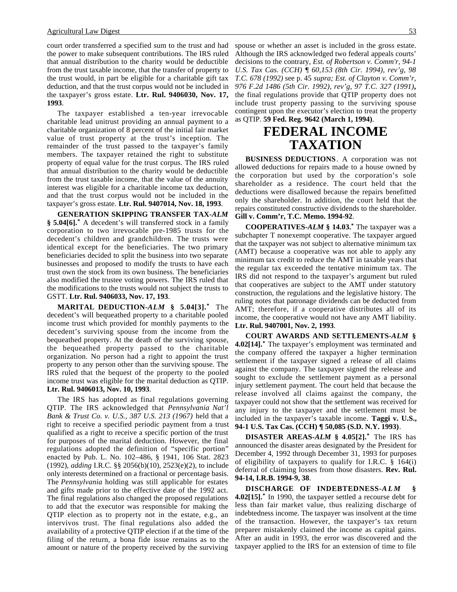court order transferred a specified sum to the trust and had the power to make subsequent contributions. The IRS ruled that annual distribution to the charity would be deductible from the trust taxable income, that the transfer of property to the trust would, in part be eligible for a charitable gift tax deduction, and that the trust corpus would not be included in the taxpayer's gross estate. **Ltr. Rul. 9406030, Nov. 17, 1993**.

The taxpayer established a ten-year irrevocable charitable lead unitrust providing an annual payment to a charitable organization of 8 percent of the initial fair market value of trust property at the trust's inception. The remainder of the trust passed to the taxpayer's family members. The taxpayer retained the right to substitute property of equal value for the trust corpus. The IRS ruled that annual distribution to the charity would be deductible from the trust taxable income, that the value of the annuity interest was eligible for a charitable income tax deduction, and that the trust corpus would not be included in the taxpayer's gross estate. **Ltr. Rul. 9407014, Nov. 18, 1993**.

**GENERATION SKIPPING TRANSFER TAX-***ALM* **§ 5.04[6].\*** A decedent's will transferred stock in a family corporation to two irrevocable pre-1985 trusts for the decedent's children and grandchildren. The trusts were identical except for the beneficiaries. The two primary beneficiaries decided to split the business into two separate businesses and proposed to modify the trusts to have each trust own the stock from its own business. The beneficiaries also modified the trustee voting powers. The IRS ruled that the modifications to the trusts would not subject the trusts to GSTT. **Ltr. Rul. 9406033, Nov. 17, 193**.

**MARITAL DEDUCTION-***ALM* **§ 5.04[3].\*** The decedent's will bequeathed property to a charitable pooled income trust which provided for monthly payments to the decedent's surviving spouse from the income from the bequeathed property. At the death of the surviving spouse, the bequeathed property passed to the charitable organization. No person had a right to appoint the trust property to any person other than the surviving spouse. The IRS ruled that the bequest of the property to the pooled income trust was eligible for the marital deduction as QTIP. **Ltr. Rul. 9406013, Nov. 10, 1993**.

The IRS has adopted as final regulations governing QTIP. The IRS acknowledged that *Pennsylvania Nat'l Bank & Trust Co. v. U.S., 387 U.S. 213 (1967)* held that a right to receive a specified periodic payment from a trust qualified as a right to receive a specific portion of the trust for purposes of the marital deduction. However, the final regulations adopted the definition of "specific portion" enacted by Pub. L. No. 102–486, § 1941, 106 Stat. 2823 (1992), *adding* I.R.C. §§ 2056(b)(10), 2523(e)(2), to include only interests determined on a fractional or percentage basis. The *Pennsylvania* holding was still applicable for estates and gifts made prior to the effective date of the 1992 act. The final regulations also changed the proposed regulations to add that the executor was responsible for making the QTIP election as to property not in the estate, e.g., an intervivos trust. The final regulations also added the availability of a protective QTIP election if at the time of the filing of the return, a bona fide issue remains as to the amount or nature of the property received by the surviving

spouse or whether an asset is included in the gross estate. Although the IRS acknowledged two federal appeals courts' decisions to the contrary, *Est. of Robertson v. Comm'r, 94-1 U.S. Tax Cas. (CCH) ¶ 60,153 (8th Cir. 1994), rev'g, 98 T.C. 678 (1992)* see p. 45 *supra; Est. of Clayton v. Comm'r, 976 F.2d 1486 (5th Cir. 1992), rev'g, 97 T.C. 327 (1991)***,** the final regulations provide that QTIP property does not include trust property passing to the surviving spouse contingent upon the executor's election to treat the property as QTIP. **59 Fed. Reg. 9642 (March 1, 1994)**.

## **FEDERAL INCOME TAXATION**

**BUSINESS DEDUCTIONS**. A corporation was not allowed deductions for repairs made to a house owned by the corporation but used by the corporation's sole shareholder as a residence. The court held that the deductions were disallowed because the repairs benefitted only the shareholder. In addition, the court held that the repairs constituted constructive dividends to the shareholder. **Gill v. Comm'r, T.C. Memo. 1994-92**.

**COOPERATIVES-***ALM* **§ 14.03.\*** The taxpayer was a subchapter T nonexempt cooperative. The taxpayer argued that the taxpayer was not subject to alternative minimum tax (AMT) because a cooperative was not able to apply any minimum tax credit to reduce the AMT in taxable years that the regular tax exceeded the tentative minimum tax. The IRS did not respond to the taxpayer's argument but ruled that cooperatives are subject to the AMT under statutory construction, the regulations and the legislative history. The ruling notes that patronage dividends can be deducted from AMT; therefore, if a cooperative distributes all of its income, the cooperative would not have any AMT liability. **Ltr. Rul. 9407001, Nov. 2, 1993**.

**COURT AWARDS AND SETTLEMENTS-***ALM* **§ 4.02[14].\*** The taxpayer's employment was terminated and the company offered the taxpayer a higher termination settlement if the taxpayer signed a release of all claims against the company. The taxpayer signed the release and sought to exclude the settlement payment as a personal injury settlement payment. The court held that because the release involved all claims against the company, the taxpayer could not show that the settlement was received for any injury to the taxpayer and the settlement must be included in the taxpayer's taxable income. **Taggi v. U.S., 94-1 U.S. Tax Cas. (CCH) ¶ 50,085 (S.D. N.Y. 1993)**.

**DISASTER AREAS-***ALM* **§ 4.05[2].\*** The IRS has announced the disaster areas designated by the President for December 4, 1992 through December 31, 1993 for purposes of eligibility of taxpayers to qualify for I.R.C. § 164(i) deferral of claiming losses from those disasters. **Rev. Rul. 94-14, I.R.B. 1994-9, 38**.

**DISCHARGE OF INDEBTEDNESS-***ALM* **§ 4.02[15].\*** In 1990, the taxpayer settled a recourse debt for less than fair market value, thus realizing discharge of indebtedness income. The taxpayer was insolvent at the time of the transaction. However, the taxpayer's tax return preparer mistakenly claimed the income as capital gains. After an audit in 1993, the error was discovered and the taxpayer applied to the IRS for an extension of time to file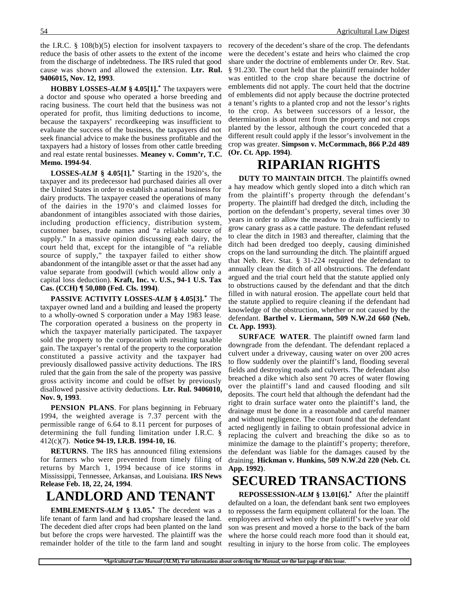the I.R.C. § 108(b)(5) election for insolvent taxpayers to reduce the basis of other assets to the extent of the income from the discharge of indebtedness. The IRS ruled that good cause was shown and allowed the extension. **Ltr. Rul. 9406015, Nov. 12, 1993**.

**HOBBY LOSSES-***ALM* **§ 4.05[1].\*** The taxpayers were a doctor and spouse who operated a horse breeding and racing business. The court held that the business was not operated for profit, thus limiting deductions to income, because the taxpayers' recordkeeping was insufficient to evaluate the success of the business, the taxpayers did not seek financial advice to make the business profitable and the taxpayers had a history of losses from other cattle breeding and real estate rental businesses. **Meaney v. Comm'r, T.C. Memo. 1994-94**.

**LOSSES-***ALM* **§ 4.05[1].\*** Starting in the 1920's, the taxpayer and its predecessor had purchased dairies all over the United States in order to establish a national business for dairy products. The taxpayer ceased the operations of many of the dairies in the 1970's and claimed losses for abandonment of intangibles associated with those dairies, including production efficiency, distribution system, customer bases, trade names and "a reliable source of supply." In a massive opinion discussing each dairy, the court held that, except for the intangible of "a reliable source of supply," the taxpayer failed to either show abandonment of the intangible asset or that the asset had any value separate from goodwill (which would allow only a capital loss deduction). **Kraft, Inc. v. U.S., 94-1 U.S. Tax Cas. (CCH) ¶ 50,080 (Fed. Cls. 1994)**.

**PASSIVE ACTIVITY LOSSES-***ALM* **§ 4.05[3].\*** The taxpayer owned land and a building and leased the property to a wholly-owned S corporation under a May 1983 lease. The corporation operated a business on the property in which the taxpayer materially participated. The taxpayer sold the property to the corporation with resulting taxable gain. The taxpayer's rental of the property to the corporation constituted a passive activity and the taxpayer had previously disallowed passive activity deductions. The IRS ruled that the gain from the sale of the property was passive gross activity income and could be offset by previously disallowed passive activity deductions. **Ltr. Rul. 9406010, Nov. 9, 1993**.

**PENSION PLANS**. For plans beginning in February 1994, the weighted average is 7.37 percent with the permissible range of 6.64 to 8.11 percent for purposes of determining the full funding limitation under I.R.C. § 412(c)(7). **Notice 94-19, I.R.B. 1994-10, 16**.

**RETURNS**. The IRS has announced filing extensions for farmers who were prevented from timely filing of returns by March 1, 1994 because of ice storms in Mississippi, Tennessee, Arkansas, and Louisiana. **IRS News Release Feb. 18, 22, 24, 1994**.

# **LANDLORD AND TENANT**

**EMBLEMENTS-***ALM* **§ 13.05.\*** The decedent was a life tenant of farm land and had cropshare leased the land. The decedent died after crops had been planted on the land but before the crops were harvested. The plaintiff was the remainder holder of the title to the farm land and sought

recovery of the decedent's share of the crop. The defendants were the decedent's estate and heirs who claimed the crop share under the doctrine of emblements under Or. Rev. Stat. § 91.230. The court held that the plaintiff remainder holder was entitled to the crop share because the doctrine of emblements did not apply. The court held that the doctrine of emblements did not apply because the doctrine protected a tenant's rights to a planted crop and not the lessor's rights to the crop. As between successors of a lessor, the determination is about rent from the property and not crops planted by the lessor, although the court conceded that a different result could apply if the lessor's involvement in the crop was greater. **Simpson v. McCormmach, 866 P.2d 489 (Or. Ct. App. 1994)**.

### **RIPARIAN RIGHTS**

**DUTY TO MAINTAIN DITCH**. The plaintiffs owned a hay meadow which gently sloped into a ditch which ran from the plaintiff's property through the defendant's property. The plaintiff had dredged the ditch, including the portion on the defendant's property, several times over 30 years in order to allow the meadow to drain sufficiently to grow canary grass as a cattle pasture. The defendant refused to clear the ditch in 1983 and thereafter, claiming that the ditch had been dredged too deeply, causing diminished crops on the land surrounding the ditch. The plaintiff argued that Neb. Rev. Stat. § 31-224 required the defendant to annually clean the ditch of all obstructions. The defendant argued and the trial court held that the statute applied only to obstructions caused by the defendant and that the ditch filled in with natural erosion. The appellate court held that the statute applied to require cleaning if the defendant had knowledge of the obstruction, whether or not caused by the defendant. **Barthel v. Liermann, 509 N.W.2d 660 (Neb. Ct. App. 1993)**.

**SURFACE WATER**. The plaintiff owned farm land downgrade from the defendant. The defendant replaced a culvert under a driveway, causing water on over 200 acres to flow suddenly over the plaintiff's land, flooding several fields and destroying roads and culverts. The defendant also breached a dike which also sent 70 acres of water flowing over the plaintiff's land and caused flooding and silt deposits. The court held that although the defendant had the right to drain surface water onto the plaintiff's land, the drainage must be done in a reasonable and careful manner and without negligence. The court found that the defendant acted negligently in failing to obtain professional advice in replacing the culvert and breaching the dike so as to minimize the damage to the plaintiff's property; therefore, the defendant was liable for the damages caused by the draining. **Hickman v. Hunkins, 509 N.W.2d 220 (Neb. Ct. App. 1992)**.

### **SECURED TRANSACTIONS**

**REPOSSESSION-***ALM* **§ 13.01[6].\*** After the plaintiff defaulted on a loan, the defendant bank sent two employees to repossess the farm equipment collateral for the loan. The employees arrived when only the plaintiff's twelve year old son was present and moved a horse to the back of the barn where the horse could reach more food than it should eat, resulting in injury to the horse from colic. The employees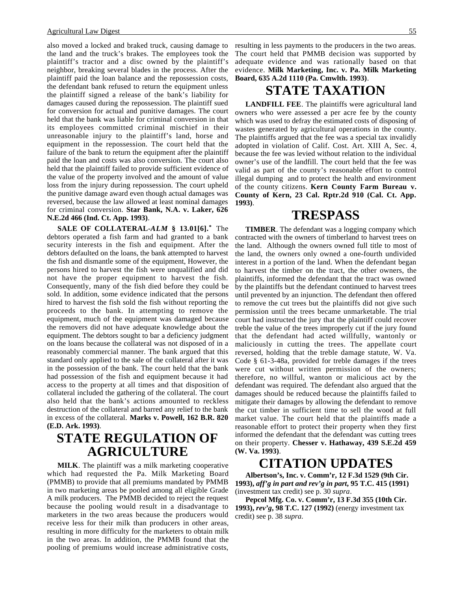also moved a locked and braked truck, causing damage to the land and the truck's brakes. The employees took the plaintiff's tractor and a disc owned by the plaintiff's neighbor, breaking several blades in the process. After the plaintiff paid the loan balance and the repossession costs, the defendant bank refused to return the equipment unless the plaintiff signed a release of the bank's liability for damages caused during the repossession. The plaintiff sued for conversion for actual and punitive damages. The court held that the bank was liable for criminal conversion in that its employees committed criminal mischief in their unreasonable injury to the plaintiff's land, horse and equipment in the repossession. The court held that the failure of the bank to return the equipment after the plaintiff paid the loan and costs was also conversion. The court also held that the plaintiff failed to provide sufficient evidence of the value of the property involved and the amount of value loss from the injury during repossession. The court upheld the punitive damage award even though actual damages was reversed, because the law allowed at least nominal damages for criminal conversion. **Star Bank, N.A. v. Laker, 626 N.E.2d 466 (Ind. Ct. App. 1993)**.

**SALE OF COLLATERAL-***ALM* **§ 13.01[6].\*** The debtors operated a fish farm and had granted to a bank security interests in the fish and equipment. After the debtors defaulted on the loans, the bank attempted to harvest the fish and dismantle some of the equipment, However, the persons hired to harvest the fish were unqualified and did not have the proper equipment to harvest the fish. Consequently, many of the fish died before they could be sold. In addition, some evidence indicated that the persons hired to harvest the fish sold the fish without reporting the proceeds to the bank. In attempting to remove the equipment, much of the equipment was damaged because the removers did not have adequate knowledge about the equipment. The debtors sought to bar a deficiency judgment on the loans because the collateral was not disposed of in a reasonably commercial manner. The bank argued that this standard only applied to the sale of the collateral after it was in the possession of the bank. The court held that the bank had possession of the fish and equipment because it had access to the property at all times and that disposition of collateral included the gathering of the collateral. The court also held that the bank's actions amounted to reckless destruction of the collateral and barred any relief to the bank in excess of the collateral. **Marks v. Powell, 162 B.R. 820 (E.D. Ark. 1993)**.

## **STATE REGULATION OF AGRICULTURE**

**MILK**. The plaintiff was a milk marketing cooperative which had requested the Pa. Milk Marketing Board (PMMB) to provide that all premiums mandated by PMMB in two marketing areas be pooled among all eligible Grade A milk producers. The PMMB decided to reject the request because the pooling would result in a disadvantage to marketers in the two areas because the producers would receive less for their milk than producers in other areas, resulting in more difficulty for the marketers to obtain milk in the two areas. In addition, the PMMB found that the pooling of premiums would increase administrative costs,

resulting in less payments to the producers in the two areas. The court held that PMMB decision was supported by adequate evidence and was rationally based on that evidence. **Milk Marketing, Inc. v. Pa. Milk Marketing Board, 635 A.2d 1110 (Pa. Cmwlth. 1993)**.

### **STATE TAXATION**

**LANDFILL FEE**. The plaintiffs were agricultural land owners who were assessed a per acre fee by the county which was used to defray the estimated costs of disposing of wastes generated by agricultural operations in the county. The plaintiffs argued that the fee was a special tax invalidly adopted in violation of Calif. Cost. Art. XIII A, Sec. 4, because the fee was levied without relation to the individual owner's use of the landfill. The court held that the fee was valid as part of the county's reasonable effort to control illegal dumping and to protect the health and environment of the county citizens. **Kern County Farm Bureau v. County of Kern, 23 Cal. Rptr.2d 910 (Cal. Ct. App. 1993)**.

### **TRESPASS**

**TIMBER**. The defendant was a logging company which contracted with the owners of timberland to harvest trees on the land. Although the owners owned full title to most of the land, the owners only owned a one-fourth undivided interest in a portion of the land. When the defendant began to harvest the timber on the tract, the other owners, the plaintiffs, informed the defendant that the tract was owned by the plaintiffs but the defendant continued to harvest trees until prevented by an injunction. The defendant then offered to remove the cut trees but the plaintiffs did not give such permission until the trees became unmarketable. The trial court had instructed the jury that the plaintiff could recover treble the value of the trees improperly cut if the jury found that the defendant had acted willfully, wantonly or maliciously in cutting the trees. The appellate court reversed, holding that the treble damage statute, W. Va. Code § 61-3-48a, provided for treble damages if the trees were cut without written permission of the owners; therefore, no willful, wanton or malicious act by the defendant was required. The defendant also argued that the damages should be reduced because the plaintiffs failed to mitigate their damages by allowing the defendant to remove the cut timber in sufficient time to sell the wood at full market value. The court held that the plaintiffs made a reasonable effort to protect their property when they first informed the defendant that the defendant was cutting trees on their property. **Chesser v. Hathaway, 439 S.E.2d 459 (W. Va. 1993)**.

### **CITATION UPDATES**

**Albertson's, Inc. v. Comm'r, 12 F.3d 1529 (9th Cir. 1993),** *aff'g in part and rev'g in part***, 95 T.C. 415 (1991)** (investment tax credit) see p. 30 *supra*.

**Pepcol Mfg. Co. v. Comm'r, 13 F.3d 355 (10th Cir. 1993),** *rev'g***, 98 T.C. 127 (1992)** (energy investment tax credit) see p. 38 *supra*.